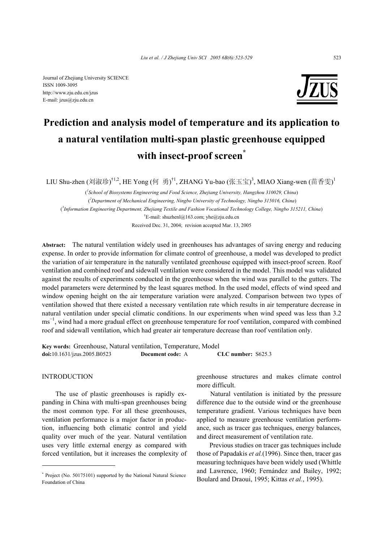

# **Prediction and analysis model of temperature and its application to a natural ventilation multi-span plastic greenhouse equipped with insect-proof screen\***

LIU Shu-zhen (刘淑珍)<sup>†1,2</sup>, HE Yong (何 勇)<sup>†1</sup>, ZHANG Yu-bao (张玉宝)<sup>3</sup>, MIAO Xiang-wen (苗香雯)<sup>1</sup>

( *1 School of Biosystems Engineering and Food Science, Zhejiang University, Hangzhou 310029, China*) ( *2 Department of Mechanical Engineering, Ningbo University of Technology, Ningbo 315016, China*) ( *3 Information Engineering Department, Zhejiang Textile and Fashion Vocational Technology College, Ningbo 315211, China*) † E-mail: shuzhenl@163.com; yhe@zju.edu.cn Received Dec. 31, 2004; revision accepted Mar. 13, 2005

**Abstract:** The natural ventilation widely used in greenhouses has advantages of saving energy and reducing expense. In order to provide information for climate control of greenhouse, a model was developed to predict the variation of air temperature in the naturally ventilated greenhouse equipped with insect-proof screen. Roof ventilation and combined roof and sidewall ventilation were considered in the model. This model was validated against the results of experiments conducted in the greenhouse when the wind was parallel to the gutters. The model parameters were determined by the least squares method. In the used model, effects of wind speed and window opening height on the air temperature variation were analyzed. Comparison between two types of ventilation showed that there existed a necessary ventilation rate which results in air temperature decrease in natural ventilation under special climatic conditions. In our experiments when wind speed was less than 3.2 ms<sup>-1</sup>, wind had a more gradual effect on greenhouse temperature for roof ventilation, compared with combined roof and sidewall ventilation, which had greater air temperature decrease than roof ventilation only.

**Key words:** Greenhouse, Natural ventilation, Temperature, Model **doi:**10.1631/jzus.2005.B0523 **Document code:** A **CLC number:** S625.3

# **INTRODUCTION**

The use of plastic greenhouses is rapidly expanding in China with multi-span greenhouses being the most common type. For all these greenhouses, ventilation performance is a major factor in production, influencing both climatic control and yield quality over much of the year. Natural ventilation uses very little external energy as compared with forced ventilation, but it increases the complexity of greenhouse structures and makes climate control more difficult.

Natural ventilation is initiated by the pressure difference due to the outside wind or the greenhouse temperature gradient. Various techniques have been applied to measure greenhouse ventilation performance, such as tracer gas techniques, energy balances, and direct measurement of ventilation rate.

Previous studies on tracer gas techniques include those of Papadakis *et al.*(1996). Since then, tracer gas measuring techniques have been widely used (Whittle and Lawrence, 1960; Fernández and Bailey, 1992; Boulard and Draoui, 1995; Kittas *et al.*, 1995).

<sup>\*</sup> Project (No. 50175101) supported by the National Natural Science Foundation of China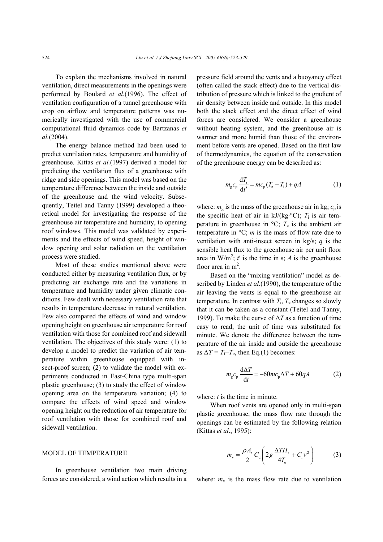To explain the mechanisms involved in natural ventilation, direct measurements in the openings were performed by Boulard *et al.*(1996). The effect of ventilation configuration of a tunnel greenhouse with crop on airflow and temperature patterns was numerically investigated with the use of commercial computational fluid dynamics code by Bartzanas *et al.*(2004).

The energy balance method had been used to predict ventilation rates, temperature and humidity of greenhouse. Kittas *et al.*(1997) derived a model for predicting the ventilation flux of a greenhouse with ridge and side openings. This model was based on the temperature difference between the inside and outside of the greenhouse and the wind velocity. Subsequently, Teitel and Tanny (1999) developed a theoretical model for investigating the response of the greenhouse air temperature and humidity, to opening roof windows. This model was validated by experiments and the effects of wind speed, height of window opening and solar radiation on the ventilation process were studied.

Most of these studies mentioned above were conducted either by measuring ventilation flux, or by predicting air exchange rate and the variations in temperature and humidity under given climatic conditions. Few dealt with necessary ventilation rate that results in temperature decrease in natural ventilation. Few also compared the effects of wind and window opening height on greenhouse air temperature for roof ventilation with those for combined roof and sidewall ventilation. The objectives of this study were: (1) to develop a model to predict the variation of air temperature within greenhouse equipped with insect-proof screen; (2) to validate the model with experiments conducted in East-China type multi-span plastic greenhouse; (3) to study the effect of window opening area on the temperature variation; (4) to compare the effects of wind speed and window opening height on the reduction of air temperature for roof ventilation with those for combined roof and sidewall ventilation.

### MODEL OF TEMPERATURE

In greenhouse ventilation two main driving forces are considered, a wind action which results in a pressure field around the vents and a buoyancy effect (often called the stack effect) due to the vertical distribution of pressure which is linked to the gradient of air density between inside and outside. In this model both the stack effect and the direct effect of wind forces are considered. We consider a greenhouse without heating system, and the greenhouse air is warmer and more humid than those of the environment before vents are opened. Based on the first law of thermodynamics, the equation of the conservation of the greenhouse energy can be described as:

$$
m_{\rm g}c_{\rm p}\frac{\mathrm{d}T_{\rm i}}{\mathrm{d}t'} = mc_{\rm p}(T_{\rm e} - T_{\rm i}) + qA \tag{1}
$$

where:  $m_g$  is the mass of the greenhouse air in kg;  $c_p$  is the specific heat of air in  $kJ/(kg \cdot ^{\circ}C)$ ;  $T_i$  is air temperature in greenhouse in  ${}^{\circ}C$ ;  $T_e$  is the ambient air temperature in  $\mathrm{C}$ ; *m* is the mass of flow rate due to ventilation with anti-insect screen in kg/s; *q* is the sensible heat flux to the greenhouse air per unit floor area in  $W/m^2$ ; *t'* is the time in s; *A* is the greenhouse floor area in  $m^2$ .

Based on the "mixing ventilation" model as described by Linden *et al.*(1990), the temperature of the air leaving the vents is equal to the greenhouse air temperature. In contrast with  $T_i$ ,  $T_e$  changes so slowly that it can be taken as a constant (Teitel and Tanny, 1999). To make the curve of ∆*T* as a function of time easy to read, the unit of time was substituted for minute. We denote the difference between the temperature of the air inside and outside the greenhouse as  $\Delta T = T_i - T_e$ , then Eq.(1) becomes:

$$
m_{\rm g}c_{\rm p}\frac{\mathrm{d}\Delta T}{\mathrm{d}t} = -60mc_{\rm p}\Delta T + 60qA\tag{2}
$$

where: *t* is the time in minute.

When roof vents are opened only in multi-span plastic greenhouse, the mass flow rate through the openings can be estimated by the following relation (Kittas *et al*., 1995):

$$
m_{\rm v} = \frac{\rho A_{\rm r}}{2} C_{\rm d} \left( 2g \frac{\Delta T H_{\rm r}}{4T_{\rm e}} + C_{\rm r} v^2 \right) \tag{3}
$$

where:  $m_v$  is the mass flow rate due to ventilation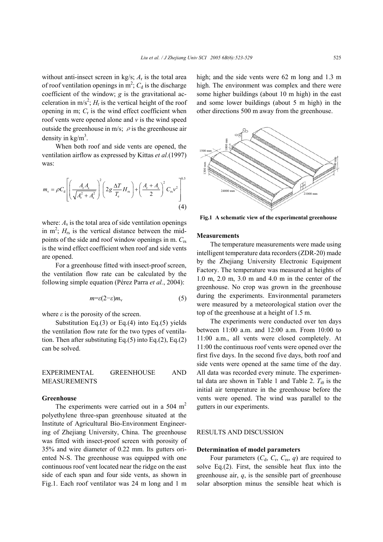without anti-insect screen in kg/s;  $A_r$  is the total area of roof ventilation openings in  $m^2$ ;  $C_d$  is the discharge coefficient of the window; *g* is the gravitational acceleration in m/s<sup>2</sup>;  $H_r$  is the vertical height of the roof opening in m;  $C<sub>r</sub>$  is the wind effect coefficient when roof vents were opened alone and *v* is the wind speed outside the greenhouse in m/s;  $\rho$  is the greenhouse air density in  $\text{kg/m}^3$ .

When both roof and side vents are opened, the ventilation airflow as expressed by Kittas *et al.*(1997) was:

$$
m_{\rm v} = \rho C_{\rm d} \left[ \left( \frac{A_{\rm r} A_{\rm s}}{\sqrt{A_{\rm r}^2 + A_{\rm s}^2}} \right)^2 \left( 2g \frac{\Delta T}{T_{\rm e}} H_{\rm rs} \right) + \left( \frac{A_{\rm r} + A_{\rm s}}{2} \right)^2 C_{\rm rs} v^2 \right]^{0.5}
$$
\n(4)

where:  $A_s$  is the total area of side ventilation openings in  $m^2$ ;  $H_{rs}$  is the vertical distance between the midpoints of the side and roof window openings in m. *C*rs is the wind effect coefficient when roof and side vents are opened.

For a greenhouse fitted with insect-proof screen, the ventilation flow rate can be calculated by the following simple equation (Pérez Parra *et al.*, 2004):

$$
m = \varepsilon (2 - \varepsilon) m_{\rm v} \tag{5}
$$

where  $\varepsilon$  is the porosity of the screen.

Substitution Eq.(3) or Eq.(4) into Eq.(5) yields the ventilation flow rate for the two types of ventilation. Then after substituting Eq. $(5)$  into Eq. $(2)$ , Eq. $(2)$ can be solved.

| EXPERIMENTAL | <b>GREENHOUSE</b> | AND |
|--------------|-------------------|-----|
| MEASUREMENTS |                   |     |

#### **Greenhouse**

The experiments were carried out in a  $504 \text{ m}^2$ polyethylene three-span greenhouse situated at the Institute of Agricultural Bio-Environment Engineering of Zhejiang University, China. The greenhouse was fitted with insect-proof screen with porosity of 35% and wire diameter of 0.22 mm. Its gutters oriented N-S. The greenhouse was equipped with one continuous roof vent located near the ridge on the east side of each span and four side vents, as shown in Fig.1. Each roof ventilator was 24 m long and 1 m

high; and the side vents were 62 m long and 1.3 m high. The environment was complex and there were some higher buildings (about 10 m high) in the east and some lower buildings (about 5 m high) in the other directions 500 m away from the greenhouse.



**Fig.1 A schematic view of the experimental greenhouse**

### **Measurements**

The temperature measurements were made using intelligent temperature data recorders (ZDR-20) made by the Zhejiang University Electronic Equipment Factory. The temperature was measured at heights of 1.0 m, 2.0 m, 3.0 m and 4.0 m in the center of the greenhouse. No crop was grown in the greenhouse during the experiments. Environmental parameters were measured by a meteorological station over the top of the greenhouse at a height of 1.5 m.

The experiments were conducted over ten days between 11:00 a.m. and 12:00 a.m. From 10:00 to 11:00 a.m., all vents were closed completely. At 11:00 the continuous roof vents were opened over the first five days. In the second five days, both roof and side vents were opened at the same time of the day. All data was recorded every minute. The experimental data are shown in Table 1 and Table 2.  $T_{i0}$  is the initial air temperature in the greenhouse before the vents were opened. The wind was parallel to the gutters in our experiments. **EXECUTE A** schematic view of the experimental greenhouse<br> **Measurements**<br>
The temperature measurements were made using<br>
intelligent temperature measurements were made using<br>
intelligent temperature was measured at height

# RESULTS AND DISCUSSION

#### **Determination of model parameters**

Four parameters  $(C_d, C_r, C_{rs}, q)$  are required to solve Eq.(2). First, the sensible heat flux into the greenhouse air,  $q$ , is the sensible part of greenhouse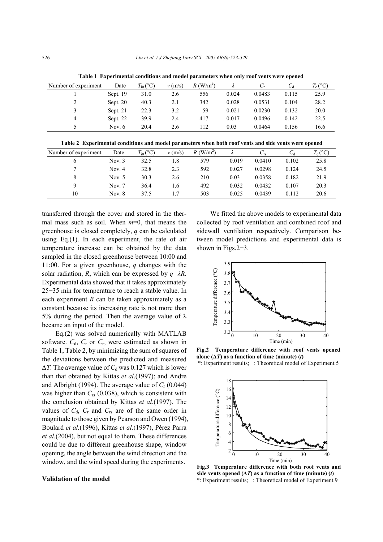| Number of experiment | Date     | $T_{i0}$ (°C) | v(m/s) | $R$ (W/m <sup>2</sup> ) |       |        | $C_d$ | $T_e$ (°C) |
|----------------------|----------|---------------|--------|-------------------------|-------|--------|-------|------------|
|                      | Sept. 19 | 31.0          | 2.6    | 556                     | 0.024 | 0.0483 | 0.115 | 25.9       |
|                      | Sept. 20 | 40.3          | 2.1    | 342                     | 0.028 | 0.0531 | 0.104 | 28.2       |
|                      | Sept. 21 | 22.3          | 3.2    | 59                      | 0.021 | 0.0230 | 0.132 | 20.0       |
| 4                    | Sept. 22 | 39.9          | 2.4    | 417                     | 0.017 | 0.0496 | 0.142 | 22.5       |
|                      | Nov. 6   | 20.4          | 2.6    | 112                     | 0.03  | 0.0464 | 0.156 | 16.6       |

**Table 1 Experimental conditions and model parameters when only roof vents were opened**

**Table 2 Experimental conditions and model parameters when both roof vents and side vents were opened**

| Number of experiment | Date     | $T_{i0}$ (°C) | $v$ (m/s) | $R$ (W/m <sup>2</sup> ) |       | $C_{rs}$ |       | $T_e$ (°C) |
|----------------------|----------|---------------|-----------|-------------------------|-------|----------|-------|------------|
| 6                    | Nov. $3$ | 32.5          | 1.8       | 579                     | 0.019 | 0.0410   | 0.102 | 25.8       |
|                      | Nov. $4$ | 32.8          | 2.3       | 592                     | 0.027 | 0.0298   | 0.124 | 24.5       |
|                      | Nov. $5$ | 30.3          | 2.6       | 210                     | 0.03  | 0.0358   | 0.182 | 21.9       |
|                      | Nov. $7$ | 36.4          | 1.6       | 492                     | 0.032 | 0.0432   | 0.107 | 20.3       |
| 10                   | Nov. 8   | 37.5          |           | 503                     | 0.025 | 0.0439   | 0.112 | 20.6       |

transferred through the cover and stored in the thermal mass such as soil. When *m*=0, that means the greenhouse is closed completely, *q* can be calculated using Eq.(1). In each experiment, the rate of air temperature increase can be obtained by the data sampled in the closed greenhouse between 10:00 and 11:00. For a given greenhouse, *q* changes with the solar radiation, *R*, which can be expressed by  $q = \lambda R$ . Experimental data showed that it takes approximately 25−35 min for temperature to reach a stable value. In each experiment *R* can be taken approximately as a constant because its increasing rate is not more than 5% during the period. Then the average value of  $\lambda$ became an input of the model.

Eq.(2) was solved numerically with MATLAB software.  $C_d$ ,  $C_r$  or  $C_{rs}$  were estimated as shown in Table 1, Table 2, by minimizing the sum of squares of the deviations between the predicted and measured  $\Delta T$ . The average value of  $C_d$  was 0.127 which is lower than that obtained by Kittas *et al*.(1997); and Andre and Albright (1994). The average value of  $C_r$  (0.044) was higher than *C*rs (0.038), which is consistent with the conclusion obtained by Kittas *et al.*(1997). The values of  $C_d$ ,  $C_r$  and  $C_{rs}$  are of the same order in magnitude to those given by Pearson and Owen (1994), Boulard *et al.*(1996), Kittas *et al.*(1997), Pérez Parra *et al.*(2004), but not equal to them. These differences could be due to different greenhouse shape, window opening, the angle between the wind direction and the window, and the wind speed during the experiments.

## **Validation of the model**

We fitted the above models to experimental data collected by roof ventilation and combined roof and sidewall ventilation respectively. Comparison between model predictions and experimental data is shown in Figs.2−3.



**Fig.2 Temperature difference with roof vents opened** alone  $(\Delta T)$  as a function of time (minute)  $(t)$ 





**Fig.3 Temperature difference with both roof vents and** side vents opened  $(\Delta T)$  as a function of time (minute)  $(t)$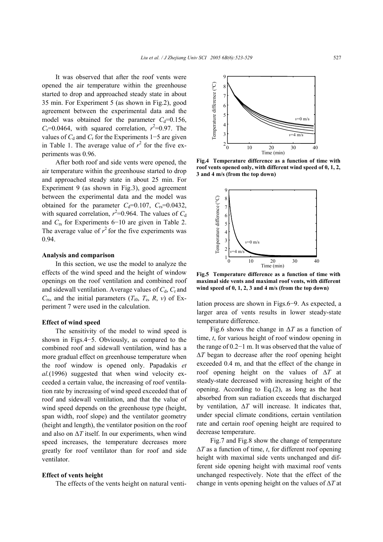It was observed that after the roof vents were opened the air temperature within the greenhouse started to drop and approached steady state in about 35 min. For Experiment 5 (as shown in Fig.2), good agreement between the experimental data and the model was obtained for the parameter  $C_d$ =0.156,  $C_r$ =0.0464, with squared correlation,  $r^2$ =0.97. The values of  $C_d$  and  $C_r$  for the Experiments 1−5 are given in Table 1. The average value of  $r^2$  for the five experiments was 0.96.

After both roof and side vents were opened, the air temperature within the greenhouse started to drop and approached steady state in about 25 min. For Experiment 9 (as shown in Fig.3), good agreement between the experimental data and the model was obtained for the parameter  $C_d=0.107$ ,  $C_{rs}=0.0432$ , with squared correlation,  $r^2$ =0.964. The values of  $C_d$ and *C*rs for Experiments 6−10 are given in Table 2. The average value of  $r^2$  for the five experiments was 0.94.

#### **Analysis and comparison**

In this section, we use the model to analyze the effects of the wind speed and the height of window openings on the roof ventilation and combined roof and sidewall ventilation. Average values of  $C_d$ ,  $C_r$  and  $C_{rs}$ , and the initial parameters  $(T_{i0}, T_e, R, v)$  of Experiment 7 were used in the calculation.

## **Effect of wind speed**

The sensitivity of the model to wind speed is shown in Figs.4−5. Obviously, as compared to the combined roof and sidewall ventilation, wind has a more gradual effect on greenhouse temperature when the roof window is opened only. Papadakis *et al.*(1996) suggested that when wind velocity exceeded a certain value, the increasing of roof ventilation rate by increasing of wind speed exceeded that of roof and sidewall ventilation, and that the value of wind speed depends on the greenhouse type (height, span width, roof slope) and the ventilator geometry (height and length), the ventilator position on the roof and also on ∆*T* itself. In our experiments, when wind speed increases, the temperature decreases more greatly for roof ventilator than for roof and side ventilator.

## **Effect of vents height**

The effects of the vents height on natural venti-

![](_page_4_Figure_9.jpeg)

**Fig.4 Temperature difference as a function of time with roof vents opened only, with different wind speed of 0, 1, 2, 3 and 4 m/s (from the top down)**

![](_page_4_Figure_11.jpeg)

**Fig.5 Temperature difference as a function of time with maximal side vents and maximal roof vents, with different wind speed of 0, 1, 2, 3 and 4 m/s (from the top down)** 

lation process are shown in Figs.6−9. As expected, a larger area of vents results in lower steady-state temperature difference.

Fig.6 shows the change in ∆*T* as a function of time, *t*, for various height of roof window opening in the range of 0.2−1 m. It was observed that the value of ∆*T* began to decrease after the roof opening height exceeded 0.4 m, and that the effect of the change in roof opening height on the values of ∆*T* at steady-state decreased with increasing height of the opening. According to Eq.(2), as long as the heat absorbed from sun radiation exceeds that discharged by ventilation, ∆*T* will increase. It indicates that, under special climate conditions, certain ventilation rate and certain roof opening height are required to decrease temperature.

Fig.7 and Fig.8 show the change of temperature ∆*T* as a function of time, *t*, for different roof opening height with maximal side vents unchanged and different side opening height with maximal roof vents unchanged respectively. Note that the effect of the change in vents opening height on the values of ∆*T* at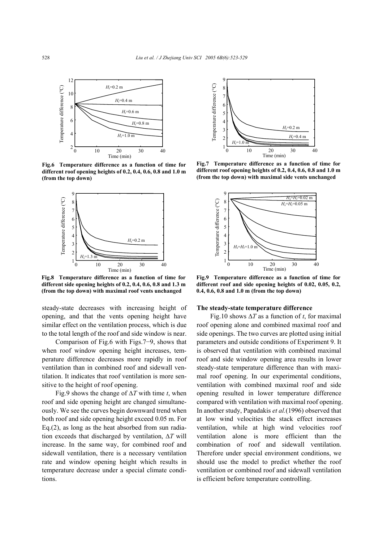![](_page_5_Figure_1.jpeg)

**Fig.6 Temperature difference as a function of time for different roof opening heights of 0.2, 0.4, 0.6, 0.8 and 1.0 m (from the top down)**

![](_page_5_Figure_3.jpeg)

**Fig.8 Temperature difference as a function of time for different side opening heights of 0.2, 0.4, 0.6, 0.8 and 1.3 m (from the top down) with maximal roof vents unchanged**

steady-state decreases with increasing height of opening, and that the vents opening height have similar effect on the ventilation process, which is due to the total length of the roof and side window is near.

Comparison of Fig.6 with Figs.7−9, shows that when roof window opening height increases, temperature difference decreases more rapidly in roof ventilation than in combined roof and sidewall ventilation. It indicates that roof ventilation is more sensitive to the height of roof opening.

Fig.9 shows the change of ∆*T* with time *t*, when roof and side opening height are changed simultaneously. We see the curves begin downward trend when both roof and side opening height exceed 0.05 m. For Eq.(2), as long as the heat absorbed from sun radiation exceeds that discharged by ventilation, ∆*T* will increase. In the same way, for combined roof and sidewall ventilation, there is a necessary ventilation rate and window opening height which results in temperature decrease under a special climate conditions.

![](_page_5_Figure_8.jpeg)

**Fig.7 Temperature difference as a function of time for different roof opening heights of 0.2, 0.4, 0.6, 0.8 and 1.0 m (from the top down) with maximal side vents unchanged**

![](_page_5_Figure_10.jpeg)

**Fig.9 Temperature difference as a function of time for different roof and side opening heights of 0.02, 0.05, 0.2, 0.4, 0.6, 0.8 and 1.0 m (from the top down)**

#### **The steady-state temperature difference**

Fig.10 shows ∆*T* as a function of *t*, for maximal roof opening alone and combined maximal roof and side openings. The two curves are plotted using initial parameters and outside conditions of Experiment 9. It is observed that ventilation with combined maximal roof and side window opening area results in lower steady-state temperature difference than with maximal roof opening. In our experimental conditions, ventilation with combined maximal roof and side opening resulted in lower temperature difference compared with ventilation with maximal roof opening. In another study, Papadakis *et al.*(1996) observed that at low wind velocities the stack effect increases ventilation, while at high wind velocities roof ventilation alone is more efficient than the combination of roof and sidewall ventilation. Therefore under special environment conditions, we should use the model to predict whether the roof ventilation or combined roof and sidewall ventilation is efficient before temperature controlling.